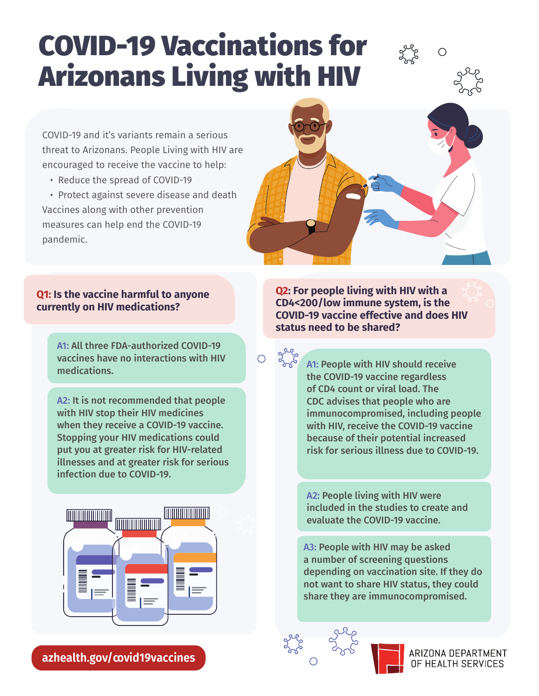# COVID-19 Vaccinations for Arizonans Living with HIV

COVID-19 and it's variants remain a serious threat to Arizonans. People Living with HIV are encouraged to receive the vaccine to help:

• Reduce the spread of COVID-19

• Protect against severe disease and death Vaccines along with other prevention measures can help end the COVID-19 pandemic.



 $\bigcirc$ 

### **Q1: Is the vaccine harmful to anyone currently on HIV medications?**

A1: All three FDA-authorized COVID-19 vaccines have no interactions with HIV medications.

A2: It is not recommended that people with HIV stop their HIV medicines when they receive a COVID-19 vaccine. Stopping your HIV medications could put you at greater risk for HIV-related illnesses and at greater risk for serious infection due to COVID-19.



**azhealth.gov/covid19vaccines** 

**Q2: For people living with HIV with a CD4<200/low immune system, is the COVID-19 vaccine effective and does HIV status need to be shared?**

> A1: People with HIV should receive the COVID-19 vaccine regardless of CD4 count or viral load. The CDC advises that people who are immunocompromised, including people with HIV, receive the COVID-19 vaccine because of their potential increased risk for serious illness due to COVID-19.

A2: People living with HIV were included in the studies to create and evaluate the COVID-19 vaccine.

A3: People with HIV may be asked a number of screening questions depending on vaccination site. If they do not want to share HIV status, they could share they are immunocompromised.



Dagac

 $\overline{O}$